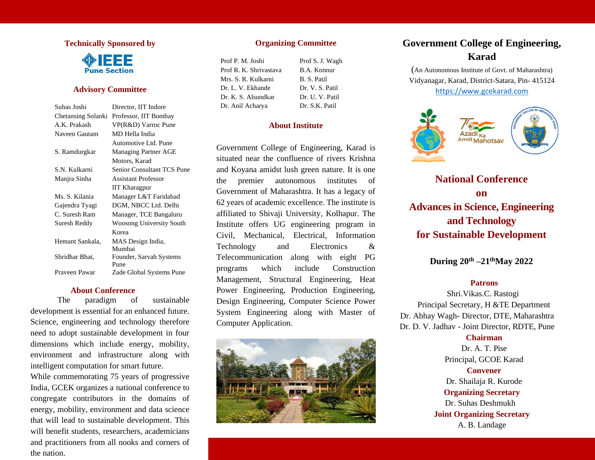## **Technically Sponsored by**



## **Advisory Committee**

| Suhas Joshi        | Director, IIT Indore        |
|--------------------|-----------------------------|
| Chetansing Solanki | Professor, IIT Bombay       |
| A.K. Prakash       | VP(R&D) Varroc Pune         |
| Naveen Gautam      | MD Hella India              |
|                    | Automotive Ltd. Pune        |
| S. Ramdurgkar      | <b>Managing Partner AGE</b> |
|                    | Motors, Karad               |
| S.N. Kulkarni      | Senior Consultant TCS Pune  |
| Manjra Sinha       | <b>Assistant Professor</b>  |
|                    | <b>IIT Kharagpur</b>        |
| Ms. S. Kilania     | Manager L&T Faridabad       |
| Gajendra Tyagi     | DGM, NBCC Ltd. Delhi        |
| C. Suresh Ram      | Manager, TCE Bangaluru      |
| Suresh Reddy       | Woosong University South    |
|                    | Korea                       |
| Hemant Sankala,    | MAS Design India,           |
|                    | Mumbai                      |
| Shridhar Bhat,     | Founder, Sarvah Systems     |
|                    | Pune                        |
| Praveen Pawar      | Zade Global Systems Pune    |
|                    |                             |

#### **About Conference**

 The paradigm of sustainable development is essential for an enhanced future. Science, engineering and technology therefore need to adopt sustainable development in four dimensions which include energy, mobility, environment and infrastructure along with intelligent computation for smart future.

While commemorating 75 years of progressive India, GCEK organizes a national conference to congregate contributors in the domains of energy, mobility, environment and data science that will lead to sustainable development. This will benefit students, researchers, academicians and practitioners from all nooks and corners of the nation.

## **Organizing Committee**

| Prof P. M. Joshi       | Prof S. J. Wagh |
|------------------------|-----------------|
| Prof R. K. Shrivastava | B.A. Konnur     |
| Mrs. S. R. Kulkarni    | B. S. Patil     |
| Dr. L. V. Ekhande      | Dr. V. S. Patil |
| Dr. K. S. Alsundkar    | Dr. U. V. Patil |
| Dr. Anil Acharya       | Dr. S.K. Patil  |

## **About Institute**

Government College of Engineering, Karad is situated near the confluence of rivers Krishna and Koyana amidst lush green nature. It is one the premier autonomous institutes of Government of Maharashtra. It has a legacy of 62 years of academic excellence. The institute is affiliated to Shivaji University, Kolhapur. The Institute offers UG engineering program in Civil, Mechanical, Electrical, Information Technology and Electronics & Telecommunication along with eight PG programs which include Construction Management, Structural Engineering, Heat Power Engineering, Production Engineering, Design Engineering, Computer Science Power System Engineering along with Master of Computer Application.



# **Government College of Engineering, Karad**

(An Autonomous Institute of Govt. of Maharashtra) Vidyanagar, Karad, District-Satara, Pin- 415124 [https://www.gcekarad.com](https://www.gcekarad.com/)



**National Conference on Advances in Science, Engineering and Technology for Sustainable Development**

## **During 20th –21thMay 2022**

### **Patrons**

Shri.Vikas.C. Rastogi Principal Secretary, H &TE Department Dr. Abhay Wagh- Director, DTE, Maharashtra Dr. D. V. Jadhav - Joint Director, RDTE, Pune

## **Chairman**

Dr. A. T. Pise Principal, GCOE Karad **Convener** Dr. Shailaja R. Kurode **Organizing Secretary** Dr. Suhas Deshmukh **Joint Organizing Secretary** A. B. Landage